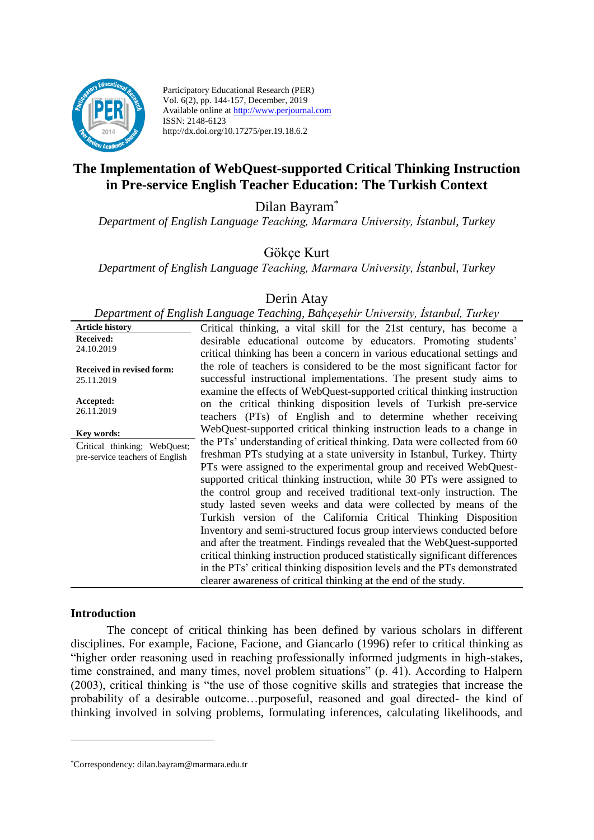

Participatory Educational Research (PER) Vol. 6(2), pp. 144-157, December, 2019 Available online at http://www.perjournal.com ISSN: 2148-6123 http://dx.doi.org/10.17275/per.19.18.6.2

# **The Implementation of WebQuest-supported Critical Thinking Instruction in Pre-service English Teacher Education: The Turkish Context**

Dilan Bayram\*

*Department of English Language Teaching, Marmara University, İstanbul, Turkey*

Gökçe Kurt

*Department of English Language Teaching, Marmara University, İstanbul, Turkey*

# Derin Atay

*Department of English Language Teaching, Bahçeşehir University, İstanbul, Turkey* **Article history Received:**  24.10.2019 **Received in revised form:**  25.11.2019 **Accepted:** 26.11.2019 Critical thinking, a vital skill for the 21st century, has become a desirable educational outcome by educators. Promoting students' critical thinking has been a concern in various educational settings and the role of teachers is considered to be the most significant factor for successful instructional implementations. The present study aims to examine the effects of WebQuest-supported critical thinking instruction on the critical thinking disposition levels of Turkish pre-service teachers (PTs) of English and to determine whether receiving WebQuest-supported critical thinking instruction leads to a change in the PTs' understanding of critical thinking. Data were collected from 60 freshman PTs studying at a state university in Istanbul, Turkey. Thirty PTs were assigned to the experimental group and received WebQuestsupported critical thinking instruction, while 30 PTs were assigned to the control group and received traditional text-only instruction. The study lasted seven weeks and data were collected by means of the Turkish version of the California Critical Thinking Disposition Inventory and semi-structured focus group interviews conducted before and after the treatment. Findings revealed that the WebQuest-supported critical thinking instruction produced statistically significant differences in the PTs' critical thinking disposition levels and the PTs demonstrated clearer awareness of critical thinking at the end of the study. **Key words:** Critical thinking; WebQuest; pre-service teachers of English

#### **Introduction**

<u>.</u>

The concept of critical thinking has been defined by various scholars in different disciplines. For example, Facione, Facione, and Giancarlo (1996) refer to critical thinking as "higher order reasoning used in reaching professionally informed judgments in high-stakes, time constrained, and many times, novel problem situations" (p. 41). According to Halpern (2003), critical thinking is "the use of those cognitive skills and strategies that increase the probability of a desirable outcome…purposeful, reasoned and goal directed- the kind of thinking involved in solving problems, formulating inferences, calculating likelihoods, and

<sup>\*</sup>Correspondency: dilan.bayram@marmara.edu.tr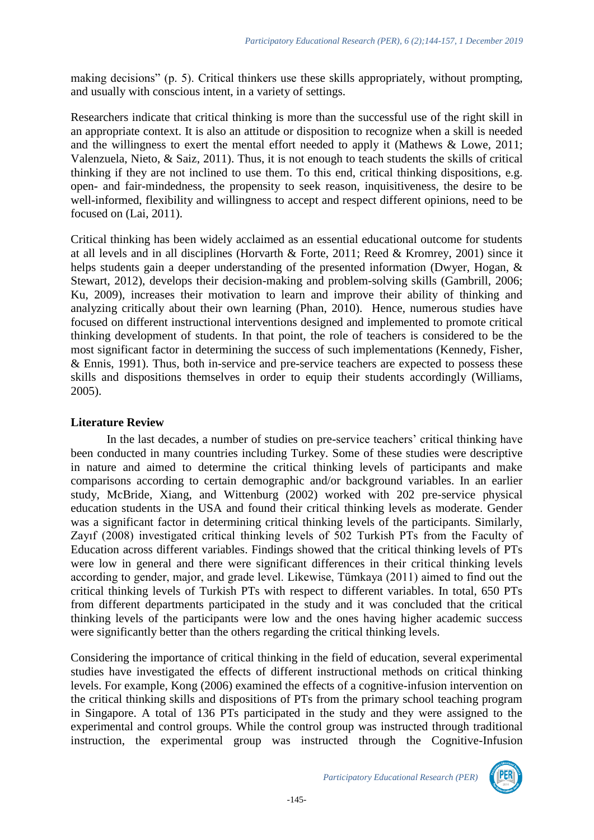making decisions" (p. 5). Critical thinkers use these skills appropriately, without prompting, and usually with conscious intent, in a variety of settings.

Researchers indicate that critical thinking is more than the successful use of the right skill in an appropriate context. It is also an attitude or disposition to recognize when a skill is needed and the willingness to exert the mental effort needed to apply it (Mathews & Lowe, 2011; Valenzuela, Nieto, & Saiz, 2011). Thus, it is not enough to teach students the skills of critical thinking if they are not inclined to use them. To this end, critical thinking dispositions, e.g. open- and fair-mindedness, the propensity to seek reason, inquisitiveness, the desire to be well-informed, flexibility and willingness to accept and respect different opinions, need to be focused on (Lai, 2011).

Critical thinking has been widely acclaimed as an essential educational outcome for students at all levels and in all disciplines (Horvarth & Forte, 2011; [Reed & Kromrey, 2001\)](http://www.sciencedirect.com/science/article/pii/S0260691713001251#bb0135) since it helps students gain a deeper understanding of the presented information (Dwyer, Hogan, & Stewart, 2012), develops their decision-making and problem-solving skills (Gambrill, 2006; Ku, 2009), increases their motivation to learn and improve their ability of thinking and analyzing critically about their own learning (Phan, 2010). Hence, numerous studies have focused on different instructional interventions designed and implemented to promote critical thinking development of students. In that point, the role of teachers is considered to be the most significant factor in determining the success of such implementations (Kennedy, Fisher, & Ennis, 1991). Thus, both in-service and pre-service teachers are expected to possess these skills and dispositions themselves in order to equip their students accordingly (Williams, 2005).

# **Literature Review**

In the last decades, a number of studies on pre-service teachers' critical thinking have been conducted in many countries including Turkey. Some of these studies were descriptive in nature and aimed to determine the critical thinking levels of participants and make comparisons according to certain demographic and/or background variables. In an earlier study, McBride, Xiang, and Wittenburg (2002) worked with 202 pre-service physical education students in the USA and found their critical thinking levels as moderate. Gender was a significant factor in determining critical thinking levels of the participants. Similarly, Zayıf (2008) investigated critical thinking levels of 502 Turkish PTs from the Faculty of Education across different variables. Findings showed that the critical thinking levels of PTs were low in general and there were significant differences in their critical thinking levels according to gender, major, and grade level. Likewise, Tümkaya (2011) aimed to find out the critical thinking levels of Turkish PTs with respect to different variables. In total, 650 PTs from different departments participated in the study and it was concluded that the critical thinking levels of the participants were low and the ones having higher academic success were significantly better than the others regarding the critical thinking levels.

Considering the importance of critical thinking in the field of education, several experimental studies have investigated the effects of different instructional methods on critical thinking levels. For example, Kong (2006) examined the effects of a cognitive-infusion intervention on the critical thinking skills and dispositions of PTs from the primary school teaching program in Singapore. A total of 136 PTs participated in the study and they were assigned to the experimental and control groups. While the control group was instructed through traditional instruction, the experimental group was instructed through the Cognitive-Infusion

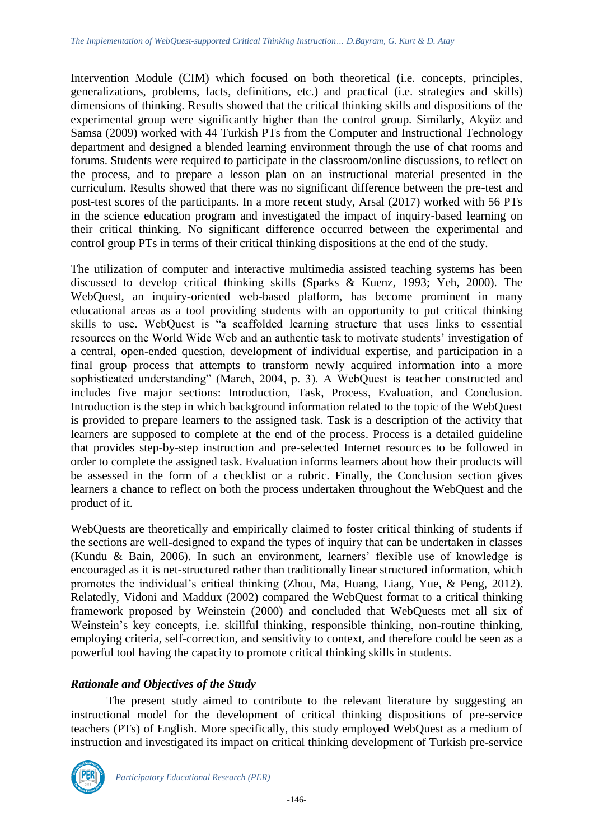Intervention Module (CIM) which focused on both theoretical (i.e. concepts, principles, generalizations, problems, facts, definitions, etc.) and practical (i.e. strategies and skills) dimensions of thinking. Results showed that the critical thinking skills and dispositions of the experimental group were significantly higher than the control group. Similarly, Akyüz and Samsa (2009) worked with 44 Turkish PTs from the Computer and Instructional Technology department and designed a blended learning environment through the use of chat rooms and forums. Students were required to participate in the classroom/online discussions, to reflect on the process, and to prepare a lesson plan on an instructional material presented in the curriculum. Results showed that there was no significant difference between the pre**-**test and post**-**test scores of the participants. In a more recent study, Arsal (2017) worked with 56 PTs in the science education program and investigated the impact of inquiry-based learning on their critical thinking. No significant difference occurred between the experimental and control group PTs in terms of their critical thinking dispositions at the end of the study.

The utilization of computer and interactive multimedia assisted teaching systems has been discussed to develop critical thinking skills (Sparks & Kuenz, 1993; Yeh, 2000). The WebQuest, an inquiry-oriented web-based platform, has become prominent in many educational areas as a tool providing students with an opportunity to put critical thinking skills to use. WebQuest is "a scaffolded learning structure that uses links to essential resources on the World Wide Web and an authentic task to motivate students' investigation of a central, open-ended question, development of individual expertise, and participation in a final group process that attempts to transform newly acquired information into a more sophisticated understanding" (March, 2004, p. 3). A WebQuest is teacher constructed and includes five major sections: Introduction, Task, Process, Evaluation, and Conclusion. Introduction is the step in which background information related to the topic of the WebQuest is provided to prepare learners to the assigned task. Task is a description of the activity that learners are supposed to complete at the end of the process. Process is a detailed guideline that provides step-by-step instruction and pre-selected Internet resources to be followed in order to complete the assigned task. Evaluation informs learners about how their products will be assessed in the form of a checklist or a rubric. Finally, the Conclusion section gives learners a chance to reflect on both the process undertaken throughout the WebQuest and the product of it.

WebQuests are theoretically and empirically claimed to foster critical thinking of students if the sections are well-designed to expand the types of inquiry that can be undertaken in classes (Kundu & Bain, 2006). In such an environment, learners' flexible use of knowledge is encouraged as it is net-structured rather than traditionally linear structured information, which promotes the individual's critical thinking (Zhou, Ma, Huang, Liang, Yue, & Peng, 2012). Relatedly, Vidoni and Maddux (2002) compared the WebQuest format to a critical thinking framework proposed by Weinstein (2000) and concluded that WebQuests met all six of Weinstein's key concepts, i.e. skillful thinking, responsible thinking, non-routine thinking, employing criteria, self-correction, and sensitivity to context, and therefore could be seen as a powerful tool having the capacity to promote critical thinking skills in students.

# *Rationale and Objectives of the Study*

The present study aimed to contribute to the relevant literature by suggesting an instructional model for the development of critical thinking dispositions of pre-service teachers (PTs) of English. More specifically, this study employed WebQuest as a medium of instruction and investigated its impact on critical thinking development of Turkish pre-service

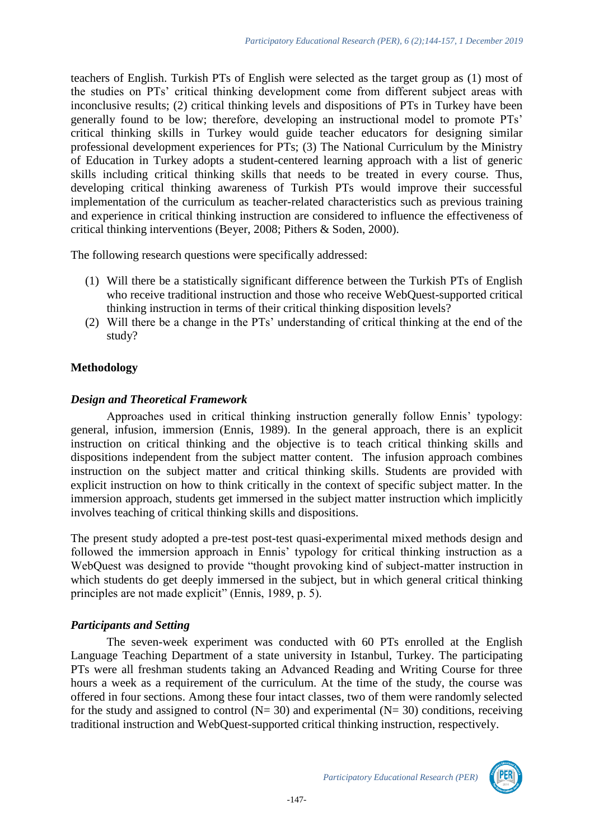teachers of English. Turkish PTs of English were selected as the target group as (1) most of the studies on PTs' critical thinking development come from different subject areas with inconclusive results; (2) critical thinking levels and dispositions of PTs in Turkey have been generally found to be low; therefore, developing an instructional model to promote PTs' critical thinking skills in Turkey would guide teacher educators for designing similar professional development experiences for PTs; (3) The National Curriculum by the Ministry of Education in Turkey adopts a student-centered learning approach with a list of generic skills including critical thinking skills that needs to be treated in every course. Thus, developing critical thinking awareness of Turkish PTs would improve their successful implementation of the curriculum as teacher-related characteristics such as previous training and experience in critical thinking instruction are considered to influence the effectiveness of critical thinking interventions (Beyer, 2008; Pithers & Soden, 2000).

The following research questions were specifically addressed:

- (1) Will there be a statistically significant difference between the Turkish PTs of English who receive traditional instruction and those who receive WebQuest-supported critical thinking instruction in terms of their critical thinking disposition levels?
- (2) Will there be a change in the PTs' understanding of critical thinking at the end of the study?

# **Methodology**

#### *Design and Theoretical Framework*

Approaches used in critical thinking instruction generally follow Ennis' typology: general, infusion, immersion (Ennis, 1989). In the general approach, there is an explicit instruction on critical thinking and the objective is to teach critical thinking skills and dispositions independent from the subject matter content. The infusion approach combines instruction on the subject matter and critical thinking skills. Students are provided with explicit instruction on how to think critically in the context of specific subject matter. In the immersion approach, students get immersed in the subject matter instruction which implicitly involves teaching of critical thinking skills and dispositions.

The present study adopted a pre-test post-test quasi-experimental mixed methods design and followed the immersion approach in Ennis' typology for critical thinking instruction as a WebQuest was designed to provide "thought provoking kind of subject-matter instruction in which students do get deeply immersed in the subject, but in which general critical thinking principles are not made explicit" (Ennis, 1989, p. 5).

# *Participants and Setting*

The seven-week experiment was conducted with 60 PTs enrolled at the English Language Teaching Department of a state university in Istanbul, Turkey. The participating PTs were all freshman students taking an Advanced Reading and Writing Course for three hours a week as a requirement of the curriculum. At the time of the study, the course was offered in four sections. Among these four intact classes, two of them were randomly selected for the study and assigned to control ( $N= 30$ ) and experimental ( $N= 30$ ) conditions, receiving traditional instruction and WebQuest-supported critical thinking instruction, respectively.

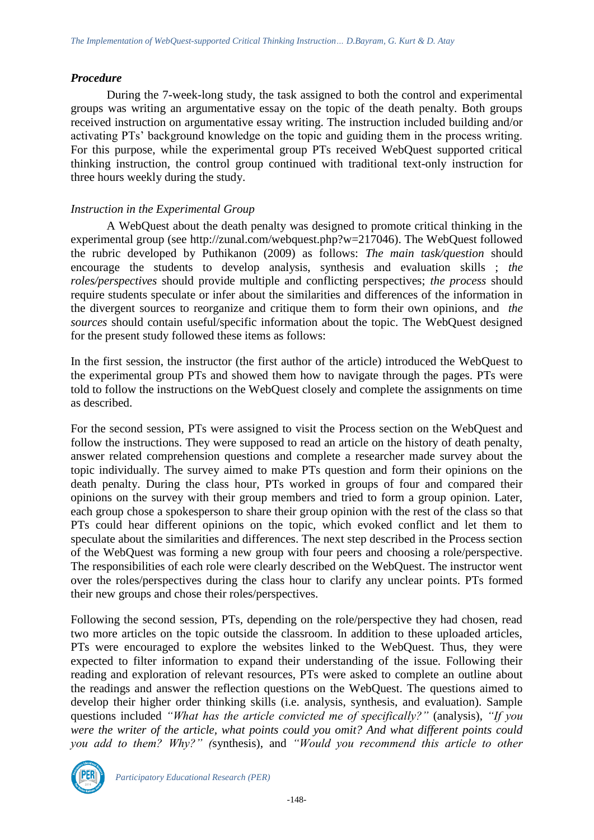#### *Procedure*

During the 7-week-long study, the task assigned to both the control and experimental groups was writing an argumentative essay on the topic of the death penalty. Both groups received instruction on argumentative essay writing. The instruction included building and/or activating PTs' background knowledge on the topic and guiding them in the process writing. For this purpose, while the experimental group PTs received WebQuest supported critical thinking instruction, the control group continued with traditional text-only instruction for three hours weekly during the study.

### *Instruction in the Experimental Group*

A WebQuest about the death penalty was designed to promote critical thinking in the experimental group (see [http://zunal.com/webquest.php?w=217046\)](http://zunal.com/webquest.php?w=217046). The WebQuest followed the rubric developed by Puthikanon (2009) as follows: *The main task/question* should encourage the students to develop analysis, synthesis and evaluation skills ; *the roles/perspectives* should provide multiple and conflicting perspectives; *the process* should require students speculate or infer about the similarities and differences of the information in the divergent sources to reorganize and critique them to form their own opinions, and *the sources* should contain useful/specific information about the topic. The WebQuest designed for the present study followed these items as follows:

In the first session, the instructor (the first author of the article) introduced the WebQuest to the experimental group PTs and showed them how to navigate through the pages. PTs were told to follow the instructions on the WebQuest closely and complete the assignments on time as described.

For the second session, PTs were assigned to visit the Process section on the WebQuest and follow the instructions. They were supposed to read an article on the history of death penalty, answer related comprehension questions and complete a researcher made survey about the topic individually. The survey aimed to make PTs question and form their opinions on the death penalty. During the class hour, PTs worked in groups of four and compared their opinions on the survey with their group members and tried to form a group opinion. Later, each group chose a spokesperson to share their group opinion with the rest of the class so that PTs could hear different opinions on the topic, which evoked conflict and let them to speculate about the similarities and differences. The next step described in the Process section of the WebQuest was forming a new group with four peers and choosing a role/perspective. The responsibilities of each role were clearly described on the WebQuest. The instructor went over the roles/perspectives during the class hour to clarify any unclear points. PTs formed their new groups and chose their roles/perspectives.

Following the second session, PTs, depending on the role/perspective they had chosen, read two more articles on the topic outside the classroom. In addition to these uploaded articles, PTs were encouraged to explore the websites linked to the WebQuest. Thus, they were expected to filter information to expand their understanding of the issue. Following their reading and exploration of relevant resources, PTs were asked to complete an outline about the readings and answer the reflection questions on the WebQuest. The questions aimed to develop their higher order thinking skills (i.e. analysis, synthesis, and evaluation). Sample questions included *"What has the article convicted me of specifically?"* (analysis), *"If you were the writer of the article, what points could you omit? And what different points could you add to them? Why?" (*synthesis), and *"Would you recommend this article to other* 

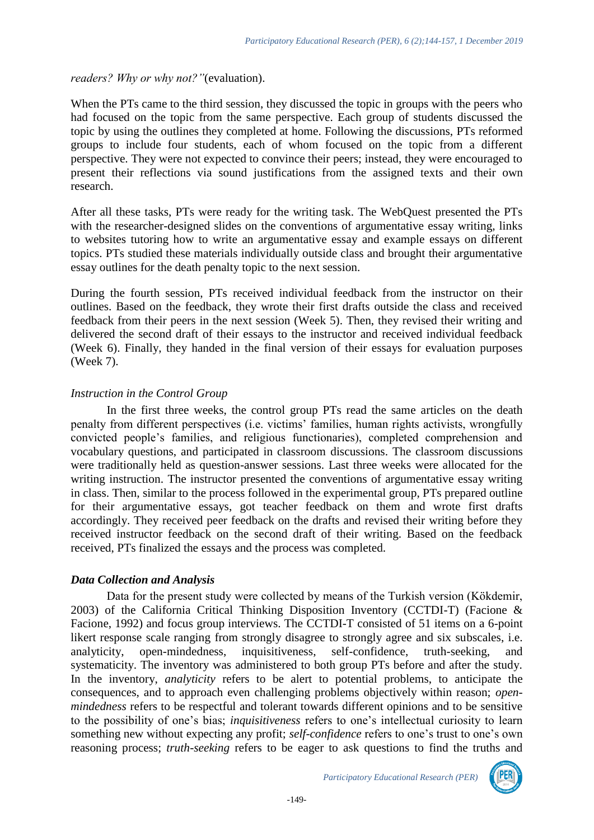### *readers? Why or why not?"*(evaluation).

When the PTs came to the third session, they discussed the topic in groups with the peers who had focused on the topic from the same perspective. Each group of students discussed the topic by using the outlines they completed at home. Following the discussions, PTs reformed groups to include four students, each of whom focused on the topic from a different perspective. They were not expected to convince their peers; instead, they were encouraged to present their reflections via sound justifications from the assigned texts and their own research.

After all these tasks, PTs were ready for the writing task. The WebQuest presented the PTs with the researcher-designed slides on the conventions of argumentative essay writing, links to websites tutoring how to write an argumentative essay and example essays on different topics. PTs studied these materials individually outside class and brought their argumentative essay outlines for the death penalty topic to the next session.

During the fourth session, PTs received individual feedback from the instructor on their outlines. Based on the feedback, they wrote their first drafts outside the class and received feedback from their peers in the next session (Week 5). Then, they revised their writing and delivered the second draft of their essays to the instructor and received individual feedback (Week 6). Finally, they handed in the final version of their essays for evaluation purposes (Week 7).

# *Instruction in the Control Group*

In the first three weeks, the control group PTs read the same articles on the death penalty from different perspectives (i.e. victims' families, human rights activists, wrongfully convicted people's families, and religious functionaries), completed comprehension and vocabulary questions, and participated in classroom discussions. The classroom discussions were traditionally held as question-answer sessions. Last three weeks were allocated for the writing instruction. The instructor presented the conventions of argumentative essay writing in class. Then, similar to the process followed in the experimental group, PTs prepared outline for their argumentative essays, got teacher feedback on them and wrote first drafts accordingly. They received peer feedback on the drafts and revised their writing before they received instructor feedback on the second draft of their writing. Based on the feedback received, PTs finalized the essays and the process was completed.

# *Data Collection and Analysis*

Data for the present study were collected by means of the Turkish version (Kökdemir, 2003) of the California Critical Thinking Disposition Inventory (CCTDI-T) (Facione & Facione, 1992) and focus group interviews. The CCTDI-T consisted of 51 items on a 6-point likert response scale ranging from strongly disagree to strongly agree and six subscales, i.e. analyticity, open-mindedness, inquisitiveness, self-confidence, truth-seeking, and systematicity. The inventory was administered to both group PTs before and after the study. In the inventory, *analyticity* refers to be alert to potential problems, to anticipate the consequences, and to approach even challenging problems objectively within reason; *openmindedness* refers to be respectful and tolerant towards different opinions and to be sensitive to the possibility of one's bias; *inquisitiveness* refers to one's intellectual curiosity to learn something new without expecting any profit; *self-confidence* refers to one's trust to one's own reasoning process; *truth-seeking* refers to be eager to ask questions to find the truths and

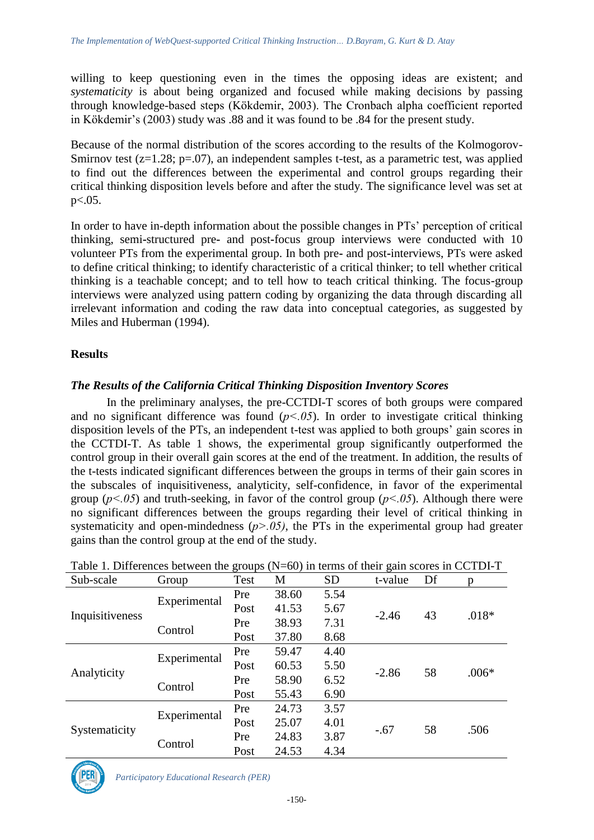willing to keep questioning even in the times the opposing ideas are existent; and *systematicity* is about being organized and focused while making decisions by passing through knowledge-based steps (Kökdemir, 2003). The Cronbach alpha coefficient reported in Kökdemir's (2003) study was .88 and it was found to be .84 for the present study.

Because of the normal distribution of the scores according to the results of the Kolmogorov-Smirnov test  $(z=1.28; p=.07)$ , an independent samples t-test, as a parametric test, was applied to find out the differences between the experimental and control groups regarding their critical thinking disposition levels before and after the study. The significance level was set at  $p<.05$ .

In order to have in-depth information about the possible changes in PTs' perception of critical thinking, semi**-**structured pre**-** and post**-**focus group interviews were conducted with 10 volunteer PTs from the experimental group. In both pre**-** and post**-**interviews, PTs were asked to define critical thinking; to identify characteristic of a critical thinker; to tell whether critical thinking is a teachable concept; and to tell how to teach critical thinking. The focus-group interviews were analyzed using pattern coding by organizing the data through discarding all irrelevant information and coding the raw data into conceptual categories, as suggested by Miles and Huberman (1994).

# **Results**

# *The Results of the California Critical Thinking Disposition Inventory Scores*

In the preliminary analyses, the pre-CCTDI-T scores of both groups were compared and no significant difference was found  $(p<0.05)$ . In order to investigate critical thinking disposition levels of the PTs, an independent t-test was applied to both groups' gain scores in the CCTDI-T. As table 1 shows, the experimental group significantly outperformed the control group in their overall gain scores at the end of the treatment. In addition, the results of the t-tests indicated significant differences between the groups in terms of their gain scores in the subscales of inquisitiveness, analyticity, self-confidence, in favor of the experimental group ( $p<.05$ ) and truth-seeking, in favor of the control group ( $p<.05$ ). Although there were no significant differences between the groups regarding their level of critical thinking in systematicity and open-mindedness  $(p > 0.05)$ , the PTs in the experimental group had greater gains than the control group at the end of the study.

| Table 1. Differences between the groups (N-00) in terms of their gain scores in CCTDI-T |              |      |       |           |         |    |         |  |  |
|-----------------------------------------------------------------------------------------|--------------|------|-------|-----------|---------|----|---------|--|--|
| Sub-scale                                                                               | Group        | Test | M     | <b>SD</b> | t-value | Df | p       |  |  |
| Inquisitiveness                                                                         | Experimental | Pre  | 38.60 | 5.54      | $-2.46$ | 43 | $.018*$ |  |  |
|                                                                                         |              | Post | 41.53 | 5.67      |         |    |         |  |  |
|                                                                                         | Control      | Pre  | 38.93 | 7.31      |         |    |         |  |  |
|                                                                                         |              | Post | 37.80 | 8.68      |         |    |         |  |  |
| Analyticity                                                                             | Experimental | Pre  | 59.47 | 4.40      | $-2.86$ | 58 | $.006*$ |  |  |
|                                                                                         |              | Post | 60.53 | 5.50      |         |    |         |  |  |
|                                                                                         | Control      | Pre  | 58.90 | 6.52      |         |    |         |  |  |
|                                                                                         |              | Post | 55.43 | 6.90      |         |    |         |  |  |
| Systematicity                                                                           | Experimental | Pre  | 24.73 | 3.57      | $-.67$  | 58 | .506    |  |  |
|                                                                                         |              | Post | 25.07 | 4.01      |         |    |         |  |  |
|                                                                                         | Control      | Pre  | 24.83 | 3.87      |         |    |         |  |  |
|                                                                                         |              | Post | 24.53 | 4.34      |         |    |         |  |  |

Table 1. Differences between the groups (N=60) in terms of their gain scores in CCTDI-T

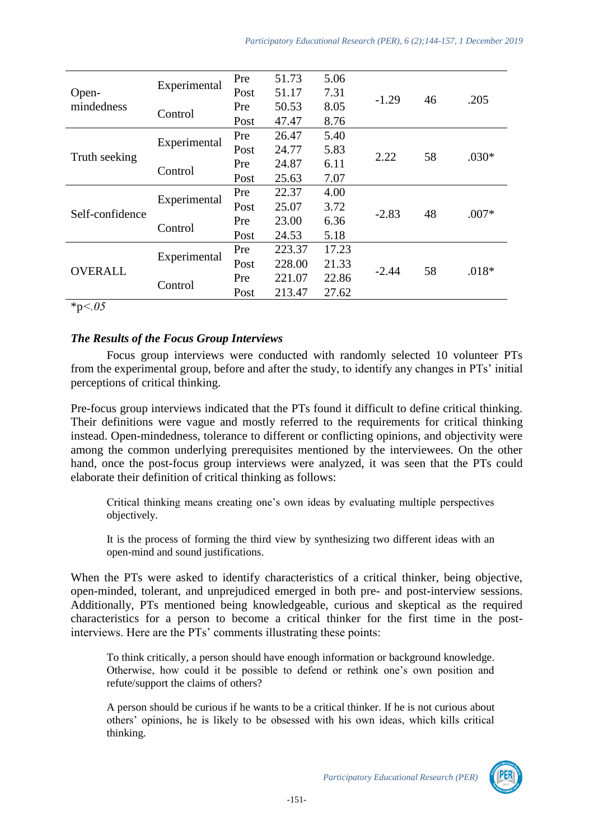|                     |                         | Pre  | 51.73  | 5.06  |         |    |         |
|---------------------|-------------------------|------|--------|-------|---------|----|---------|
| Open-<br>mindedness | Experimental            | Post | 51.17  | 7.31  | $-1.29$ | 46 | .205    |
|                     |                         | Pre  | 50.53  | 8.05  |         |    |         |
| Truth seeking       | Control<br>Experimental | Post | 47.47  | 8.76  |         |    |         |
|                     |                         | Pre  | 26.47  | 5.40  |         |    |         |
|                     |                         | Post | 24.77  | 5.83  | 2.22    | 58 | $.030*$ |
|                     |                         | Pre  | 24.87  | 6.11  |         |    |         |
| Self-confidence     | Control<br>Experimental | Post | 25.63  | 7.07  |         |    |         |
|                     |                         | Pre  | 22.37  | 4.00  |         |    |         |
|                     |                         | Post | 25.07  | 3.72  | $-2.83$ | 48 | $.007*$ |
|                     |                         | Pre  | 23.00  | 6.36  |         |    |         |
| <b>OVERALL</b>      | Control<br>Experimental | Post | 24.53  | 5.18  |         |    |         |
|                     |                         | Pre  | 223.37 | 17.23 |         |    |         |
|                     |                         | Post | 228.00 | 21.33 | $-2.44$ | 58 | $.018*$ |
|                     | Control                 | Pre  | 221.07 | 22.86 |         |    |         |
|                     |                         | Post | 213.47 | 27.62 |         |    |         |

\*p*˂.05*

# *The Results of the Focus Group Interviews*

Focus group interviews were conducted with randomly selected 10 volunteer PTs from the experimental group, before and after the study, to identify any changes in PTs' initial perceptions of critical thinking.

Pre-focus group interviews indicated that the PTs found it difficult to define critical thinking. Their definitions were vague and mostly referred to the requirements for critical thinking instead. Open-mindedness, tolerance to different or conflicting opinions, and objectivity were among the common underlying prerequisites mentioned by the interviewees. On the other hand, once the post-focus group interviews were analyzed, it was seen that the PTs could elaborate their definition of critical thinking as follows:

Critical thinking means creating one's own ideas by evaluating multiple perspectives objectively.

It is the process of forming the third view by synthesizing two different ideas with an open-mind and sound justifications.

When the PTs were asked to identify characteristics of a critical thinker, being objective, open-minded, tolerant, and unprejudiced emerged in both pre- and post-interview sessions. Additionally, PTs mentioned being knowledgeable, curious and skeptical as the required characteristics for a person to become a critical thinker for the first time in the postinterviews. Here are the PTs' comments illustrating these points:

To think critically, a person should have enough information or background knowledge. Otherwise, how could it be possible to defend or rethink one's own position and refute/support the claims of others?

A person should be curious if he wants to be a critical thinker. If he is not curious about others' opinions, he is likely to be obsessed with his own ideas, which kills critical thinking.

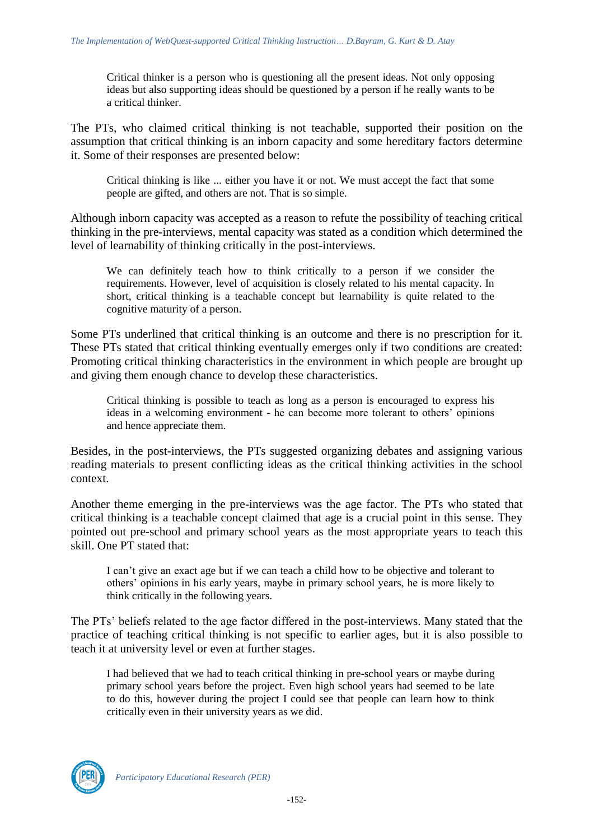Critical thinker is a person who is questioning all the present ideas. Not only opposing ideas but also supporting ideas should be questioned by a person if he really wants to be a critical thinker.

The PTs, who claimed critical thinking is not teachable, supported their position on the assumption that critical thinking is an inborn capacity and some hereditary factors determine it. Some of their responses are presented below:

Critical thinking is like ... either you have it or not. We must accept the fact that some people are gifted, and others are not. That is so simple.

Although inborn capacity was accepted as a reason to refute the possibility of teaching critical thinking in the pre-interviews, mental capacity was stated as a condition which determined the level of learnability of thinking critically in the post-interviews.

We can definitely teach how to think critically to a person if we consider the requirements. However, level of acquisition is closely related to his mental capacity. In short, critical thinking is a teachable concept but learnability is quite related to the cognitive maturity of a person.

Some PTs underlined that critical thinking is an outcome and there is no prescription for it. These PTs stated that critical thinking eventually emerges only if two conditions are created: Promoting critical thinking characteristics in the environment in which people are brought up and giving them enough chance to develop these characteristics.

Critical thinking is possible to teach as long as a person is encouraged to express his ideas in a welcoming environment - he can become more tolerant to others' opinions and hence appreciate them.

Besides, in the post-interviews, the PTs suggested organizing debates and assigning various reading materials to present conflicting ideas as the critical thinking activities in the school context.

Another theme emerging in the pre-interviews was the age factor. The PTs who stated that critical thinking is a teachable concept claimed that age is a crucial point in this sense. They pointed out pre-school and primary school years as the most appropriate years to teach this skill. One PT stated that:

I can't give an exact age but if we can teach a child how to be objective and tolerant to others' opinions in his early years, maybe in primary school years, he is more likely to think critically in the following years.

The PTs' beliefs related to the age factor differed in the post-interviews. Many stated that the practice of teaching critical thinking is not specific to earlier ages, but it is also possible to teach it at university level or even at further stages.

I had believed that we had to teach critical thinking in pre-school years or maybe during primary school years before the project. Even high school years had seemed to be late to do this, however during the project I could see that people can learn how to think critically even in their university years as we did.

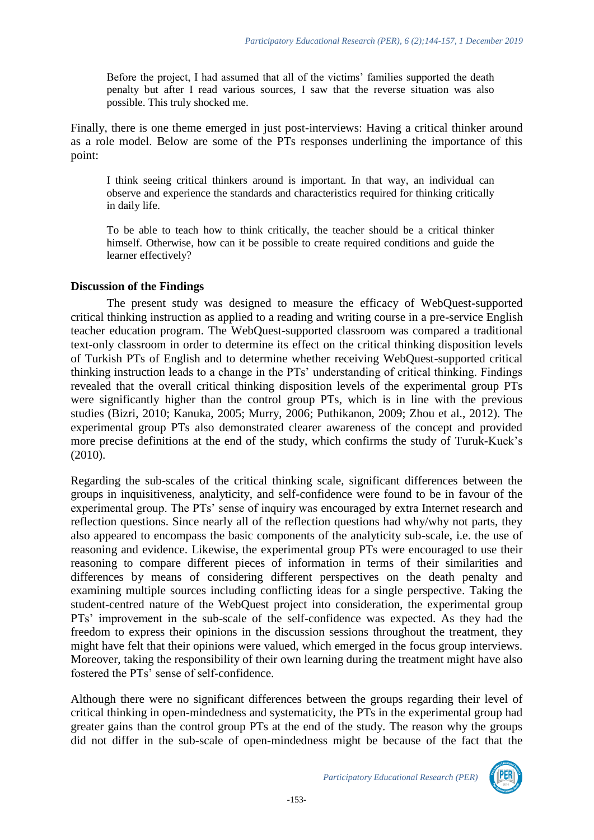Before the project, I had assumed that all of the victims' families supported the death penalty but after I read various sources, I saw that the reverse situation was also possible. This truly shocked me.

Finally, there is one theme emerged in just post-interviews: Having a critical thinker around as a role model. Below are some of the PTs responses underlining the importance of this point:

I think seeing critical thinkers around is important. In that way, an individual can observe and experience the standards and characteristics required for thinking critically in daily life.

To be able to teach how to think critically, the teacher should be a critical thinker himself. Otherwise, how can it be possible to create required conditions and guide the learner effectively?

#### **Discussion of the Findings**

The present study was designed to measure the efficacy of WebQuest-supported critical thinking instruction as applied to a reading and writing course in a pre-service English teacher education program. The WebQuest-supported classroom was compared a traditional text-only classroom in order to determine its effect on the critical thinking disposition levels of Turkish PTs of English and to determine whether receiving WebQuest-supported critical thinking instruction leads to a change in the PTs' understanding of critical thinking. Findings revealed that the overall critical thinking disposition levels of the experimental group PTs were significantly higher than the control group PTs, which is in line with the previous studies (Bizri, 2010; Kanuka, 2005; Murry, 2006; Puthikanon, 2009; Zhou et al., 2012). The experimental group PTs also demonstrated clearer awareness of the concept and provided more precise definitions at the end of the study, which confirms the study of Turuk-Kuek's (2010).

Regarding the sub-scales of the critical thinking scale, significant differences between the groups in inquisitiveness, analyticity, and self-confidence were found to be in favour of the experimental group. The PTs' sense of inquiry was encouraged by extra Internet research and reflection questions. Since nearly all of the reflection questions had why/why not parts, they also appeared to encompass the basic components of the analyticity sub-scale, i.e. the use of reasoning and evidence. Likewise, the experimental group PTs were encouraged to use their reasoning to compare different pieces of information in terms of their similarities and differences by means of considering different perspectives on the death penalty and examining multiple sources including conflicting ideas for a single perspective. Taking the student-centred nature of the WebQuest project into consideration, the experimental group PTs' improvement in the sub-scale of the self-confidence was expected. As they had the freedom to express their opinions in the discussion sessions throughout the treatment, they might have felt that their opinions were valued, which emerged in the focus group interviews. Moreover, taking the responsibility of their own learning during the treatment might have also fostered the PTs' sense of self-confidence.

Although there were no significant differences between the groups regarding their level of critical thinking in open-mindedness and systematicity, the PTs in the experimental group had greater gains than the control group PTs at the end of the study. The reason why the groups did not differ in the sub-scale of open-mindedness might be because of the fact that the

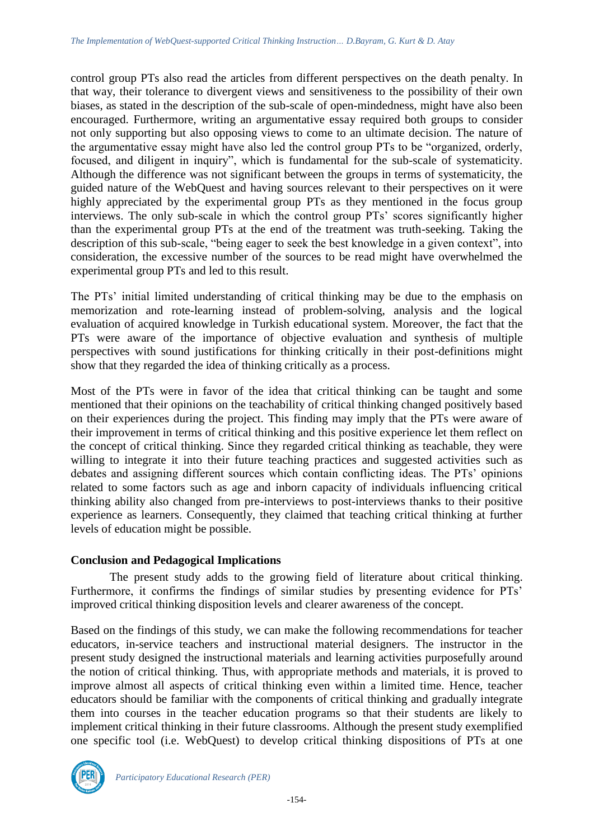control group PTs also read the articles from different perspectives on the death penalty. In that way, their tolerance to divergent views and sensitiveness to the possibility of their own biases, as stated in the description of the sub-scale of open-mindedness, might have also been encouraged. Furthermore, writing an argumentative essay required both groups to consider not only supporting but also opposing views to come to an ultimate decision. The nature of the argumentative essay might have also led the control group PTs to be "organized, orderly, focused, and diligent in inquiry", which is fundamental for the sub-scale of systematicity. Although the difference was not significant between the groups in terms of systematicity, the guided nature of the WebQuest and having sources relevant to their perspectives on it were highly appreciated by the experimental group PTs as they mentioned in the focus group interviews. The only sub-scale in which the control group PTs' scores significantly higher than the experimental group PTs at the end of the treatment was truth-seeking. Taking the description of this sub-scale, "being eager to seek the best knowledge in a given context", into consideration, the excessive number of the sources to be read might have overwhelmed the experimental group PTs and led to this result.

The PTs' initial limited understanding of critical thinking may be due to the emphasis on memorization and rote-learning instead of problem-solving, analysis and the logical evaluation of acquired knowledge in Turkish educational system. Moreover, the fact that the PTs were aware of the importance of objective evaluation and synthesis of multiple perspectives with sound justifications for thinking critically in their post-definitions might show that they regarded the idea of thinking critically as a process.

Most of the PTs were in favor of the idea that critical thinking can be taught and some mentioned that their opinions on the teachability of critical thinking changed positively based on their experiences during the project. This finding may imply that the PTs were aware of their improvement in terms of critical thinking and this positive experience let them reflect on the concept of critical thinking. Since they regarded critical thinking as teachable, they were willing to integrate it into their future teaching practices and suggested activities such as debates and assigning different sources which contain conflicting ideas. The PTs' opinions related to some factors such as age and inborn capacity of individuals influencing critical thinking ability also changed from pre-interviews to post-interviews thanks to their positive experience as learners. Consequently, they claimed that teaching critical thinking at further levels of education might be possible.

#### **Conclusion and Pedagogical Implications**

The present study adds to the growing field of literature about critical thinking. Furthermore, it confirms the findings of similar studies by presenting evidence for PTs' improved critical thinking disposition levels and clearer awareness of the concept.

Based on the findings of this study, we can make the following recommendations for teacher educators, in-service teachers and instructional material designers. The instructor in the present study designed the instructional materials and learning activities purposefully around the notion of critical thinking. Thus, with appropriate methods and materials, it is proved to improve almost all aspects of critical thinking even within a limited time. Hence, teacher educators should be familiar with the components of critical thinking and gradually integrate them into courses in the teacher education programs so that their students are likely to implement critical thinking in their future classrooms. Although the present study exemplified one specific tool (i.e. WebQuest) to develop critical thinking dispositions of PTs at one

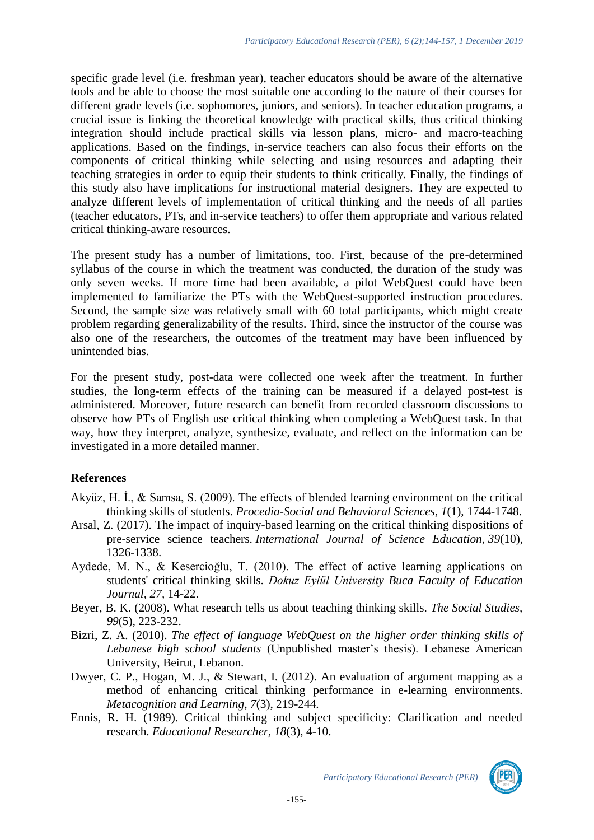specific grade level (i.e. freshman year), teacher educators should be aware of the alternative tools and be able to choose the most suitable one according to the nature of their courses for different grade levels (i.e. sophomores, juniors, and seniors). In teacher education programs, a crucial issue is linking the theoretical knowledge with practical skills, thus critical thinking integration should include practical skills via lesson plans, micro- and macro-teaching applications. Based on the findings, in-service teachers can also focus their efforts on the components of critical thinking while selecting and using resources and adapting their teaching strategies in order to equip their students to think critically. Finally, the findings of this study also have implications for instructional material designers. They are expected to analyze different levels of implementation of critical thinking and the needs of all parties (teacher educators, PTs, and in-service teachers) to offer them appropriate and various related critical thinking-aware resources.

The present study has a number of limitations, too. First, because of the pre-determined syllabus of the course in which the treatment was conducted, the duration of the study was only seven weeks. If more time had been available, a pilot WebQuest could have been implemented to familiarize the PTs with the WebQuest-supported instruction procedures. Second, the sample size was relatively small with 60 total participants, which might create problem regarding generalizability of the results. Third, since the instructor of the course was also one of the researchers, the outcomes of the treatment may have been influenced by unintended bias.

For the present study, post-data were collected one week after the treatment. In further studies, the long-term effects of the training can be measured if a delayed post-test is administered. Moreover, future research can benefit from recorded classroom discussions to observe how PTs of English use critical thinking when completing a WebQuest task. In that way, how they interpret, analyze, synthesize, evaluate, and reflect on the information can be investigated in a more detailed manner.

# **References**

- Akyüz, H. İ., & Samsa, S. (2009). The effects of blended learning environment on the critical thinking skills of students. *Procedia-Social and Behavioral Sciences*, *1*(1), 1744-1748.
- Arsal, Z. (2017). The impact of inquiry-based learning on the critical thinking dispositions of pre-service science teachers. *International Journal of Science Education*, *39*(10), 1326-1338.
- Aydede, M. N., & Kesercioğlu, T. (2010). The effect of active learning applications on students' critical thinking skills. *Dokuz Eylül University Buca Faculty of Education Journal, 27,* 14-22.
- Beyer, B. K. (2008). What research tells us about teaching thinking skills. *The Social Studies, 99*(5), 223-232.
- Bizri, Z. A. (2010). *The effect of language WebQuest on the higher order thinking skills of Lebanese high school students* (Unpublished master's thesis). Lebanese American University, Beirut, Lebanon.
- Dwyer, C. P., Hogan, M. J., & Stewart, I. (2012). An evaluation of argument mapping as a method of enhancing critical thinking performance in e-learning environments. *Metacognition and Learning*, *7*(3), 219-244.
- Ennis, R. H. (1989). Critical thinking and subject specificity: Clarification and needed research. *Educational Researcher, 18*(3), 4-10.



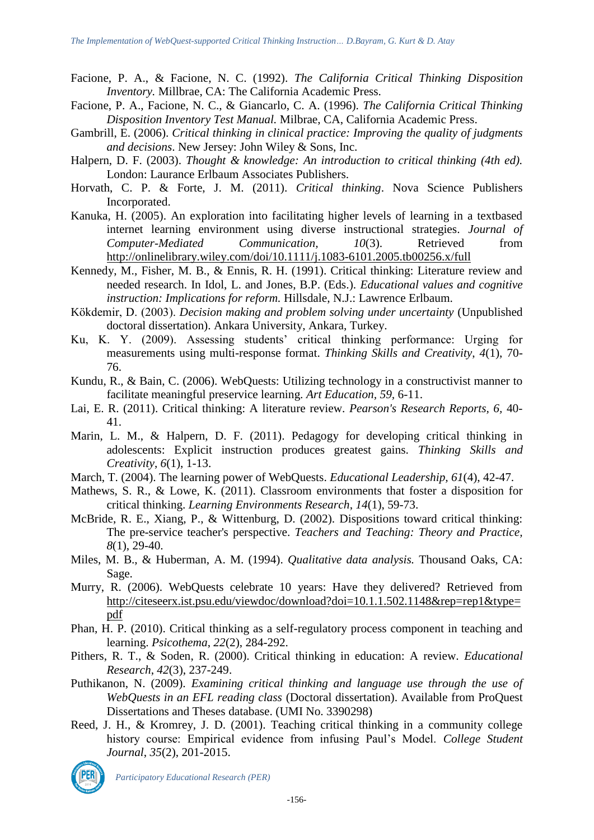- Facione, P. A., & Facione, N. C. (1992). *The California Critical Thinking Disposition Inventory.* Millbrae, CA: The California Academic Press.
- Facione, P. A., Facione, N. C., & Giancarlo, C. A. (1996). *The California Critical Thinking Disposition Inventory Test Manual.* Milbrae, CA, California Academic Press.
- Gambrill, E. (2006). *Critical thinking in clinical practice: Improving the quality of judgments and decisions*. New Jersey: John Wiley & Sons, Inc.
- Halpern, D. F. (2003). *Thought & knowledge: An introduction to critical thinking (4th ed).*  London: Laurance Erlbaum Associates Publishers.
- Horvath, C. P. & Forte, J. M. (2011). *Critical thinking*. Nova Science Publishers Incorporated.
- Kanuka, H. (2005). An exploration into facilitating higher levels of learning in a textbased internet learning environment using diverse instructional strategies. *Journal of Computer-Mediated Communication, 10*(3). Retrieved from <http://onlinelibrary.wiley.com/doi/10.1111/j.1083-6101.2005.tb00256.x/full>
- Kennedy, M., Fisher, M. B., & Ennis, R. H. (1991). Critical thinking: Literature review and needed research. In Idol, L. and Jones, B.P. (Eds.). *Educational values and cognitive instruction: Implications for reform.* Hillsdale, N.J.: Lawrence Erlbaum.
- Kökdemir, D. (2003). *Decision making and problem solving under uncertainty* (Unpublished doctoral dissertation). Ankara University, Ankara, Turkey.
- Ku, K. Y. (2009). Assessing students' critical thinking performance: Urging for measurements using multi-response format. *Thinking Skills and Creativity*, *4*(1), 70- 76.
- Kundu, R., & Bain, C. (2006). WebQuests: Utilizing technology in a constructivist manner to facilitate meaningful preservice learning. *Art Education, 59,* 6-11.
- Lai, E. R. (2011). Critical thinking: A literature review. *Pearson's Research Reports, 6,* 40- 41.
- Marin, L. M., & Halpern, D. F. (2011). Pedagogy for developing critical thinking in adolescents: Explicit instruction produces greatest gains. *Thinking Skills and Creativity*, *6*(1), 1-13.
- March, T. (2004). The learning power of WebQuests. *Educational Leadership, 61*(4), 42-47.
- Mathews, S. R., & Lowe, K. (2011). Classroom environments that foster a disposition for critical thinking. *Learning Environments Research*, *14*(1), 59-73.
- McBride, R. E., Xiang, P., & Wittenburg, D. (2002). Dispositions toward critical thinking: The pre-service teacher's perspective. *Teachers and Teaching: Theory and Practice, 8*(1), 29-40.
- Miles, M. B., & Huberman, A. M. (1994). *Qualitative data analysis.* Thousand Oaks, CA: Sage.
- Murry, R. (2006). WebQuests celebrate 10 years: Have they delivered? Retrieved from [http://citeseerx.ist.psu.edu/viewdoc/download?doi=10.1.1.502.1148&rep=rep1&type=](http://citeseerx.ist.psu.edu/viewdoc/download?doi=10.1.1.502.1148&rep=rep1&type=pdf) [pdf](http://citeseerx.ist.psu.edu/viewdoc/download?doi=10.1.1.502.1148&rep=rep1&type=pdf)
- Phan, H. P. (2010). Critical thinking as a self-regulatory process component in teaching and learning. *Psicothema*, *22*(2), 284-292.
- Pithers, R. T., & Soden, R. (2000). Critical thinking in education: A review. *Educational Research*, *42*(3), 237-249.
- Puthikanon, N. (2009). *Examining critical thinking and language use through the use of WebQuests in an EFL reading class* (Doctoral dissertation). Available from ProQuest Dissertations and Theses database. (UMI No. 3390298)
- Reed, J. H., & Kromrey, J. D. (2001). Teaching critical thinking in a community college history course: Empirical evidence from infusing Paul's Model. *College Student Journal*, *35*(2), 201-2015.